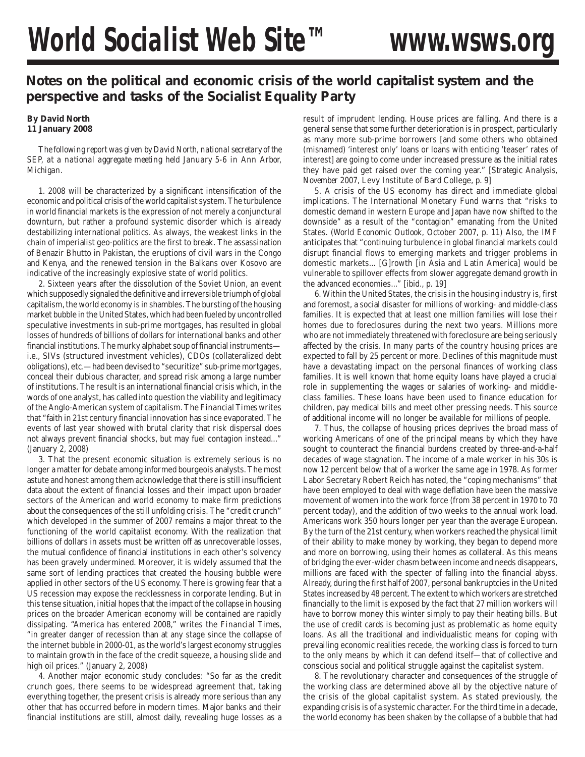## **Notes on the political and economic crisis of the world capitalist system and the perspective and tasks of the Socialist Equality Party**

## **By David North 11 January 2008**

*The following report was given by David North, national secretary of the SEP, at a national aggregate meeting held January 5-6 in Ann Arbor, Michigan.*

1. 2008 will be characterized by a significant intensification of the economic and political crisis of the world capitalist system. The turbulence in world financial markets is the expression of not merely a conjunctural downturn, but rather a profound systemic disorder which is already destabilizing international politics. As always, the weakest links in the chain of imperialist geo-politics are the first to break. The assassination of Benazir Bhutto in Pakistan, the eruptions of civil wars in the Congo and Kenya, and the renewed tension in the Balkans over Kosovo are indicative of the increasingly explosive state of world politics.

2. Sixteen years after the dissolution of the Soviet Union, an event which supposedly signaled the definitive and irreversible triumph of global capitalism, the world economy is in shambles. The bursting of the housing market bubble in the United States, which had been fueled by uncontrolled speculative investments in sub-prime mortgages, has resulted in global losses of hundreds of billions of dollars for international banks and other financial institutions. The murky alphabet soup of financial instruments i.e., SIVs (structured investment vehicles), CDOs (collateralized debt obligations), etc.—had been devised to "securitize" sub-prime mortgages, conceal their dubious character, and spread risk among a large number of institutions. The result is an international financial crisis which, in the words of one analyst, has called into question the viability and legitimacy of the Anglo-American system of capitalism. The *Financial Times* writes that "faith in 21st century financial innovation has since evaporated. The events of last year showed with brutal clarity that risk dispersal does not always prevent financial shocks, but may fuel contagion instead..." (January 2, 2008)

3. That the present economic situation is extremely serious is no longer a matter for debate among informed bourgeois analysts. The most astute and honest among them acknowledge that there is still insufficient data about the extent of financial losses and their impact upon broader sectors of the American and world economy to make firm predictions about the consequences of the still unfolding crisis. The "credit crunch" which developed in the summer of 2007 remains a major threat to the functioning of the world capitalist economy. With the realization that billions of dollars in assets must be written off as unrecoverable losses, the mutual confidence of financial institutions in each other's solvency has been gravely undermined. Moreover, it is widely assumed that the same sort of lending practices that created the housing bubble were applied in other sectors of the US economy. There is growing fear that a US recession may expose the recklessness in corporate lending. But in this tense situation, initial hopes that the impact of the collapse in housing prices on the broader American economy will be contained are rapidly dissipating. "America has entered 2008," writes the *Financial Times*, "in greater danger of recession than at any stage since the collapse of the internet bubble in 2000-01, as the world's largest economy struggles to maintain growth in the face of the credit squeeze, a housing slide and high oil prices." (January 2, 2008)

4. Another major economic study concludes: "So far as the credit crunch goes, there seems to be widespread agreement that, taking everything together, the present crisis is already more serious than any other that has occurred before in modern times. Major banks and their financial institutions are still, almost daily, revealing huge losses as a result of imprudent lending. House prices are falling. And there is a general sense that some further deterioration is in prospect, particularly as many more sub-prime borrowers [and some others who obtained (misnamed) 'interest only' loans or loans with enticing 'teaser' rates of interest] are going to come under increased pressure as the initial rates they have paid get raised over the coming year." [*Strategic Analysis, November 2007*, Levy Institute of Bard College, p. 9]

5. A crisis of the US economy has direct and immediate global implications. The International Monetary Fund warns that "risks to domestic demand in western Europe and Japan have now shifted to the downside" as a result of the "contagion" emanating from the United States. (*World Economic Outlook*, October 2007, p. 11) Also, the IMF anticipates that "continuing turbulence in global financial markets could disrupt financial flows to emerging markets and trigger problems in domestic markets... [G]rowth [in Asia and Latin America] would be vulnerable to spillover effects from slower aggregate demand growth in the advanced economies..." [ibid., p. 19]

6. Within the United States, the crisis in the housing industry is, first and foremost, a social disaster for millions of working- and middle-class families. It is expected that at least one million families will lose their homes due to foreclosures during the next two years. Millions more who are not immediately threatened with foreclosure are being seriously affected by the crisis. In many parts of the country housing prices are expected to fall by 25 percent or more. Declines of this magnitude must have a devastating impact on the personal finances of working class families. It is well known that home equity loans have played a crucial role in supplementing the wages or salaries of working- and middleclass families. These loans have been used to finance education for children, pay medical bills and meet other pressing needs. This source of additional income will no longer be available for millions of people.

7. Thus, the collapse of housing prices deprives the broad mass of working Americans of one of the principal means by which they have sought to counteract the financial burdens created by three-and-a-half decades of wage stagnation. The income of a male worker in his 30s is now 12 percent below that of a worker the same age in 1978. As former Labor Secretary Robert Reich has noted, the "coping mechanisms" that have been employed to deal with wage deflation have been the massive movement of women into the work force (from 38 percent in 1970 to 70 percent today), and the addition of two weeks to the annual work load. Americans work 350 hours longer per year than the average European. By the turn of the 21st century, when workers reached the physical limit of their ability to make money by working, they began to depend more and more on borrowing, using their homes as collateral. As this means of bridging the ever-wider chasm between income and needs disappears, millions are faced with the specter of falling into the financial abyss. Already, during the first half of 2007, personal bankruptcies in the United States increased by 48 percent. The extent to which workers are stretched financially to the limit is exposed by the fact that 27 million workers will have to borrow money this winter simply to pay their heating bills. But the use of credit cards is becoming just as problematic as home equity loans. As all the traditional and individualistic means for coping with prevailing economic realities recede, the working class is forced to turn to the only means by which it can defend itself—that of collective and conscious social and political struggle against the capitalist system.

8. The revolutionary character and consequences of the struggle of the working class are determined above all by the objective nature of the crisis of the global capitalist system. As stated previously, the expanding crisis is of a systemic character. For the third time in a decade, the world economy has been shaken by the collapse of a bubble that had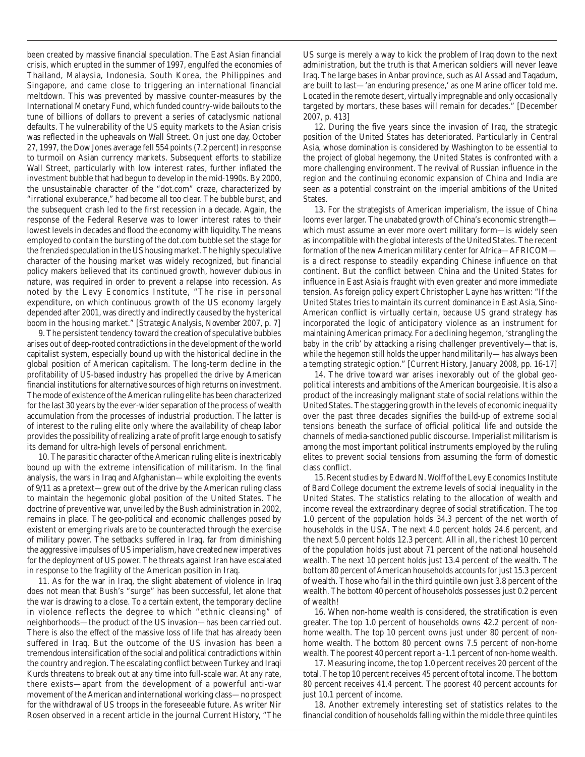been created by massive financial speculation. The East Asian financial crisis, which erupted in the summer of 1997, engulfed the economies of Thailand, Malaysia, Indonesia, South Korea, the Philippines and Singapore, and came close to triggering an international financial meltdown. This was prevented by massive counter-measures by the International Monetary Fund, which funded country-wide bailouts to the tune of billions of dollars to prevent a series of cataclysmic national defaults. The vulnerability of the US equity markets to the Asian crisis was reflected in the upheavals on Wall Street. On just one day, October 27, 1997, the Dow Jones average fell 554 points (7.2 percent) in response to turmoil on Asian currency markets. Subsequent efforts to stabilize Wall Street, particularly with low interest rates, further inflated the investment bubble that had begun to develop in the mid-1990s. By 2000, the unsustainable character of the "dot.com" craze, characterized by "irrational exuberance," had become all too clear. The bubble burst, and the subsequent crash led to the first recession in a decade. Again, the response of the Federal Reserve was to lower interest rates to their lowest levels in decades and flood the economy with liquidity. The means employed to contain the bursting of the dot.com bubble set the stage for the frenzied speculation in the US housing market. The highly speculative character of the housing market was widely recognized, but financial policy makers believed that its continued growth, however dubious in nature, was required in order to prevent a relapse into recession. As noted by the Levy Economics Institute, "The rise in personal expenditure, on which continuous growth of the US economy largely depended after 2001, was directly and indirectly caused by the hysterical boom in the housing market." [*Strategic Analysis*, *November 2007*, p. 7]

9. The persistent tendency toward the creation of speculative bubbles arises out of deep-rooted contradictions in the development of the world capitalist system, especially bound up with the historical decline in the global position of American capitalism. The long-term decline in the profitability of US-based industry has propelled the drive by American financial institutions for alternative sources of high returns on investment. The mode of existence of the American ruling elite has been characterized for the last 30 years by the ever-wider separation of the process of wealth accumulation from the processes of industrial production. The latter is of interest to the ruling elite only where the availability of cheap labor provides the possibility of realizing a rate of profit large enough to satisfy its demand for ultra-high levels of personal enrichment.

10. The parasitic character of the American ruling elite is inextricably bound up with the extreme intensification of militarism. In the final analysis, the wars in Iraq and Afghanistan—while exploiting the events of 9/11 as a pretext—grew out of the drive by the American ruling class to maintain the hegemonic global position of the United States. The doctrine of preventive war, unveiled by the Bush administration in 2002, remains in place. The geo-political and economic challenges posed by existent or emerging rivals are to be counteracted through the exercise of military power. The setbacks suffered in Iraq, far from diminishing the aggressive impulses of US imperialism, have created new imperatives for the deployment of US power. The threats against Iran have escalated in response to the fragility of the American position in Iraq.

11. As for the war in Iraq, the slight abatement of violence in Iraq does not mean that Bush's "surge" has been successful, let alone that the war is drawing to a close. To a certain extent, the temporary decline in violence reflects the degree to which "ethnic cleansing" of neighborhoods—the product of the US invasion—has been carried out. There is also the effect of the massive loss of life that has already been suffered in Iraq. But the outcome of the US invasion has been a tremendous intensification of the social and political contradictions within the country and region. The escalating conflict between Turkey and Iraqi Kurds threatens to break out at any time into full-scale war. At any rate, there exists—apart from the development of a powerful anti-war movement of the American and international working class—no prospect for the withdrawal of US troops in the foreseeable future. As writer Nir Rosen observed in a recent article in the journal *Current History*, "The

US surge is merely a way to kick the problem of Iraq down to the next administration, but the truth is that American soldiers will never leave Iraq. The large bases in Anbar province, such as Al Assad and Taqadum, are built to last—'an enduring presence,' as one Marine officer told me. Located in the remote desert, virtually impregnable and only occasionally targeted by mortars, these bases will remain for decades." [December 2007, p. 413]

12. During the five years since the invasion of Iraq, the strategic position of the United States has deteriorated. Particularly in Central Asia, whose domination is considered by Washington to be essential to the project of global hegemony, the United States is confronted with a more challenging environment. The revival of Russian influence in the region and the continuing economic expansion of China and India are seen as a potential constraint on the imperial ambitions of the United States.

13. For the strategists of American imperialism, the issue of China looms ever larger. The unabated growth of China's economic strength which must assume an ever more overt military form—is widely seen as incompatible with the global interests of the United States. The recent formation of the new American military center for Africa—AFRICOM is a direct response to steadily expanding Chinese influence on that continent. But the conflict between China and the United States for influence in East Asia is fraught with even greater and more immediate tension. As foreign policy expert Christopher Layne has written: "If the United States tries to maintain its current dominance in East Asia, Sino-American conflict is virtually certain, because US grand strategy has incorporated the logic of anticipatory violence as an instrument for maintaining American primacy. For a declining hegemon, 'strangling the baby in the crib' by attacking a rising challenger preventively—that is, while the hegemon still holds the upper hand militarily—has always been a tempting strategic option." [*Current History*, January 2008, pp. 16-17]

14. The drive toward war arises inexorably out of the global geopolitical interests and ambitions of the American bourgeoisie. It is also a product of the increasingly malignant state of social relations within the United States. The staggering growth in the levels of economic inequality over the past three decades signifies the build-up of extreme social tensions beneath the surface of official political life and outside the channels of media-sanctioned public discourse. Imperialist militarism is among the most important political instruments employed by the ruling elites to prevent social tensions from assuming the form of domestic class conflict.

15. Recent studies by Edward N. Wolff of the Levy Economics Institute of Bard College document the extreme levels of social inequality in the United States. The statistics relating to the allocation of wealth and income reveal the extraordinary degree of social stratification. The top 1.0 percent of the population holds 34.3 percent of the net worth of households in the USA. The next 4.0 percent holds 24.6 percent, and the next 5.0 percent holds 12.3 percent. All in all, the richest 10 percent of the population holds just about 71 percent of the national household wealth. The next 10 percent holds just 13.4 percent of the wealth. The bottom 80 percent of American households accounts for just 15.3 percent of wealth. Those who fall in the third quintile own just 3.8 percent of the wealth. The bottom 40 percent of households possesses just 0.2 percent of wealth!

16. When non-home wealth is considered, the stratification is even greater. The top 1.0 percent of households owns 42.2 percent of nonhome wealth. The top 10 percent owns just under 80 percent of nonhome wealth. The bottom 80 percent owns 7.5 percent of non-home wealth. The poorest 40 percent report a -1.1 percent of non-home wealth.

17. Measuring income, the top 1.0 percent receives 20 percent of the total. The top 10 percent receives 45 percent of total income. The bottom 80 percent receives 41.4 percent. The poorest 40 percent accounts for just 10.1 percent of income.

18. Another extremely interesting set of statistics relates to the financial condition of households falling within the middle three quintiles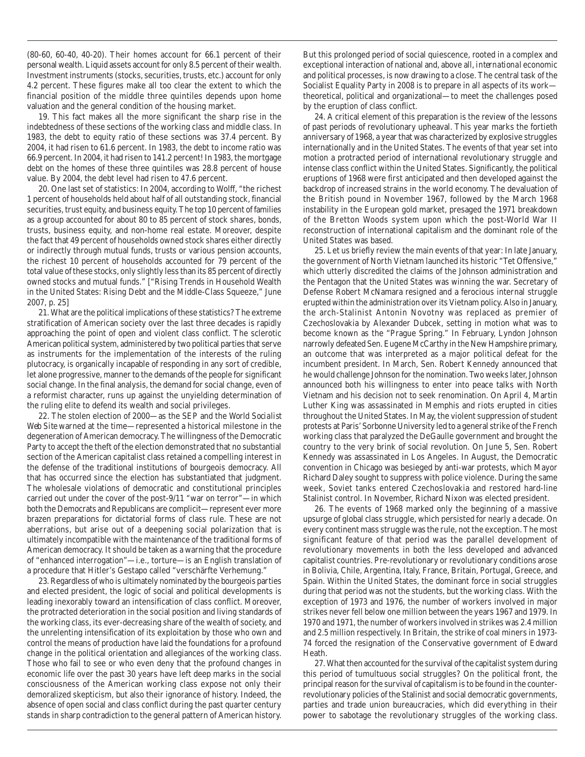(80-60, 60-40, 40-20). Their homes account for 66.1 percent of their personal wealth. Liquid assets account for only 8.5 percent of their wealth. Investment instruments (stocks, securities, trusts, etc.) account for only 4.2 percent. These figures make all too clear the extent to which the financial position of the middle three quintiles depends upon home valuation and the general condition of the housing market.

19. This fact makes all the more significant the sharp rise in the indebtedness of these sections of the working class and middle class. In 1983, the debt to equity ratio of these sections was 37.4 percent. By 2004, it had risen to 61.6 percent. In 1983, the debt to income ratio was 66.9 percent. In 2004, it had risen to 141.2 percent! In 1983, the mortgage debt on the homes of these three quintiles was 28.8 percent of house value. By 2004, the debt level had risen to 47.6 percent.

20. One last set of statistics: In 2004, according to Wolff, "the richest 1 percent of households held about half of all outstanding stock, financial securities, trust equity, and business equity. The top 10 percent of families as a group accounted for about 80 to 85 percent of stock shares, bonds, trusts, business equity, and non-home real estate. Moreover, despite the fact that 49 percent of households owned stock shares either directly or indirectly through mutual funds, trusts or various pension accounts, the richest 10 percent of households accounted for 79 percent of the total value of these stocks, only slightly less than its 85 percent of directly owned stocks and mutual funds." ["Rising Trends in Household Wealth in the United States: Rising Debt and the Middle-Class Squeeze," June 2007, p. 25]

21. What are the political implications of these statistics? The extreme stratification of American society over the last three decades is rapidly approaching the point of open and violent class conflict. The sclerotic American political system, administered by two political parties that serve as instruments for the implementation of the interests of the ruling plutocracy, is organically incapable of responding in any sort of credible, let alone progressive, manner to the demands of the people for significant social change. In the final analysis, the demand for social change, even of a reformist character, runs up against the unyielding determination of the ruling elite to defend its wealth and social privileges.

22. The stolen election of 2000—as the SEP and the *World Socialist Web Site* warned at the time—represented a historical milestone in the degeneration of American democracy. The willingness of the Democratic Party to accept the theft of the election demonstrated that no substantial section of the American capitalist class retained a compelling interest in the defense of the traditional institutions of bourgeois democracy. All that has occurred since the election has substantiated that judgment. The wholesale violations of democratic and constitutional principles carried out under the cover of the post-9/11 "war on terror"—in which both the Democrats and Republicans are complicit—represent ever more brazen preparations for dictatorial forms of class rule. These are not aberrations, but arise out of a deepening social polarization that is ultimately incompatible with the maintenance of the traditional forms of American democracy. It should be taken as a warning that the procedure of "enhanced interrogation"—i.e., torture—is an English translation of a procedure that Hitler's Gestapo called "verschärfte Verhemung."

23. Regardless of who is ultimately nominated by the bourgeois parties and elected president, the logic of social and political developments is leading inexorably toward an intensification of class conflict. Moreover, the protracted deterioration in the social position and living standards of the working class, its ever-decreasing share of the wealth of society, and the unrelenting intensification of its exploitation by those who own and control the means of production have laid the foundations for a profound change in the political orientation and allegiances of the working class. Those who fail to see or who even deny that the profound changes in economic life over the past 30 years have left deep marks in the social consciousness of the American working class expose not only their demoralized skepticism, but also their ignorance of history. Indeed, the absence of open social and class conflict during the past quarter century stands in sharp contradiction to the general pattern of American history.

But this prolonged period of social quiescence, rooted in a complex and exceptional interaction of national and, above all, *internationa*l economic and political processes, is now drawing to a close. The central task of the Socialist Equality Party in 2008 is to prepare in all aspects of its work theoretical, political and organizational—to meet the challenges posed by the eruption of class conflict.

24. A critical element of this preparation is the review of the lessons of past periods of revolutionary upheaval. This year marks the fortieth anniversary of 1968, a year that was characterized by explosive struggles internationally and in the United States. The events of that year set into motion a protracted period of international revolutionary struggle and intense class conflict within the United States. Significantly, the political eruptions of 1968 were first anticipated and then developed against the backdrop of increased strains in the world economy. The devaluation of the British pound in November 1967, followed by the March 1968 instability in the European gold market, presaged the 1971 breakdown of the Bretton Woods system upon which the post-World War II reconstruction of international capitalism and the dominant role of the United States was based.

25. Let us briefly review the main events of that year: In late January, the government of North Vietnam launched its historic "Tet Offensive," which utterly discredited the claims of the Johnson administration and the Pentagon that the United States was winning the war. Secretary of Defense Robert McNamara resigned and a ferocious internal struggle erupted within the administration over its Vietnam policy. Also in January, the arch-Stalinist Antonin Novotny was replaced as premier of Czechoslovakia by Alexander Dubcek, setting in motion what was to become known as the "Prague Spring." In February, Lyndon Johnson narrowly defeated Sen. Eugene McCarthy in the New Hampshire primary, an outcome that was interpreted as a major political defeat for the incumbent president. In March, Sen. Robert Kennedy announced that he would challenge Johnson for the nomination. Two weeks later, Johnson announced both his willingness to enter into peace talks with North Vietnam and his decision not to seek renomination. On April 4, Martin Luther King was assassinated in Memphis and riots erupted in cities throughout the United States. In May, the violent suppression of student protests at Paris' Sorbonne University led to a general strike of the French working class that paralyzed the DeGaulle government and brought the country to the very brink of social revolution. On June 5, Sen. Robert Kennedy was assassinated in Los Angeles. In August, the Democratic convention in Chicago was besieged by anti-war protests, which Mayor Richard Daley sought to suppress with police violence. During the same week, Soviet tanks entered Czechoslovakia and restored hard-line Stalinist control. In November, Richard Nixon was elected president.

26. The events of 1968 marked only the beginning of a massive upsurge of global class struggle, which persisted for nearly a decade. On every continent mass struggle was the rule, not the exception. The most significant feature of that period was the parallel development of revolutionary movements in both the less developed and advanced capitalist countries. Pre-revolutionary or revolutionary conditions arose in Bolivia, Chile, Argentina, Italy, France, Britain, Portugal, Greece, and Spain. Within the United States, the dominant force in social struggles during that period was not the students, but the working class. With the exception of 1973 and 1976, the number of workers involved in major strikes never fell below one million between the years 1967 and 1979. In 1970 and 1971, the number of workers involved in strikes was 2.4 million and 2.5 million respectively. In Britain, the strike of coal miners in 1973- 74 forced the resignation of the Conservative government of Edward Heath.

27. What then accounted for the survival of the capitalist system during this period of tumultuous social struggles? On the political front, the principal reason for the survival of capitalism is to be found in the counterrevolutionary policies of the Stalinist and social democratic governments, parties and trade union bureaucracies, which did everything in their power to sabotage the revolutionary struggles of the working class.